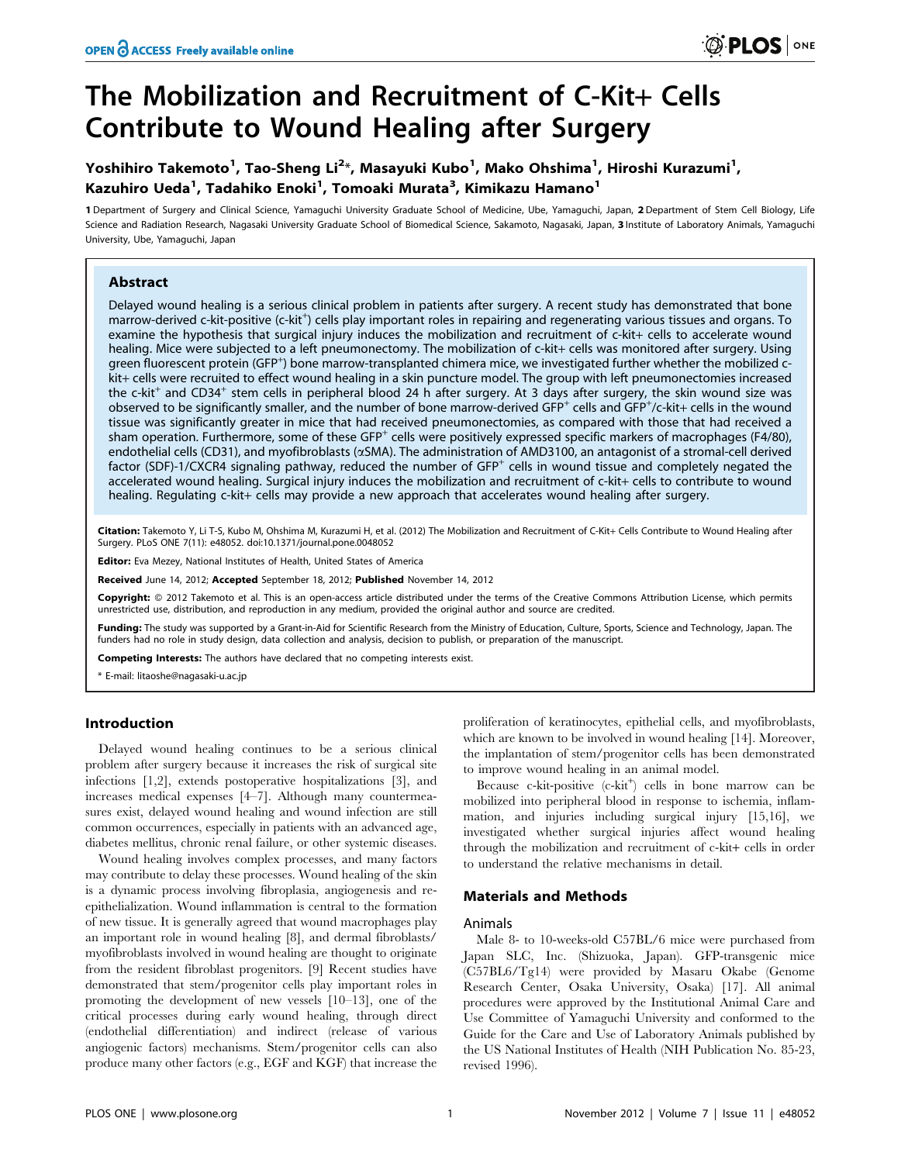# The Mobilization and Recruitment of C-Kit+ Cells Contribute to Wound Healing after Surgery

## Yoshihiro Takemoto<sup>1</sup>, Tao-Sheng Li<sup>2</sup>\*, Masayuki Kubo<sup>1</sup>, Mako Ohshima<sup>1</sup>, Hiroshi Kurazumi<sup>1</sup>, Kazuhiro Ueda<sup>1</sup>, Tadahiko Enoki<sup>1</sup>, Tomoaki Murata<sup>3</sup>, Kimikazu Hamano<sup>1</sup>

1 Department of Surgery and Clinical Science, Yamaguchi University Graduate School of Medicine, Ube, Yamaguchi, Japan, 2 Department of Stem Cell Biology, Life Science and Radiation Research, Nagasaki University Graduate School of Biomedical Science, Sakamoto, Nagasaki, Japan, 3 Institute of Laboratory Animals, Yamaguchi University, Ube, Yamaguchi, Japan

## Abstract

Delayed wound healing is a serious clinical problem in patients after surgery. A recent study has demonstrated that bone marrow-derived c-kit-positive (c-kit<sup>+</sup>) cells play important roles in repairing and regenerating various tissues and organs. To examine the hypothesis that surgical injury induces the mobilization and recruitment of c-kit+ cells to accelerate wound healing. Mice were subjected to a left pneumonectomy. The mobilization of c-kit+ cells was monitored after surgery. Using green fluorescent protein (GFP<sup>+</sup>) bone marrow-transplanted chimera mice, we investigated further whether the mobilized ckit+ cells were recruited to effect wound healing in a skin puncture model. The group with left pneumonectomies increased the c-kit<sup>+</sup> and CD34<sup>+</sup> stem cells in peripheral blood 24 h after surgery. At 3 days after surgery, the skin wound size was observed to be significantly smaller, and the number of bone marrow-derived GFP<sup>+</sup> cells and GFP<sup>+</sup>/c-kit+ cells in the wound tissue was significantly greater in mice that had received pneumonectomies, as compared with those that had received a sham operation. Furthermore, some of these GFP<sup>+</sup> cells were positively expressed specific markers of macrophages (F4/80), endothelial cells (CD31), and myofibroblasts ( $\alpha$ SMA). The administration of AMD3100, an antagonist of a stromal-cell derived factor (SDF)-1/CXCR4 signaling pathway, reduced the number of GFP<sup>+</sup> cells in wound tissue and completely negated the accelerated wound healing. Surgical injury induces the mobilization and recruitment of c-kit+ cells to contribute to wound healing. Regulating c-kit+ cells may provide a new approach that accelerates wound healing after surgery.

Citation: Takemoto Y, Li T-S, Kubo M, Ohshima M, Kurazumi H, et al. (2012) The Mobilization and Recruitment of C-Kit+ Cells Contribute to Wound Healing after Surgery. PLoS ONE 7(11): e48052. doi:10.1371/journal.pone.0048052

Editor: Eva Mezey, National Institutes of Health, United States of America

Received June 14, 2012; Accepted September 18, 2012; Published November 14, 2012

Copyright: © 2012 Takemoto et al. This is an open-access article distributed under the terms of the Creative Commons Attribution License, which permits unrestricted use, distribution, and reproduction in any medium, provided the original author and source are credited.

Funding: The study was supported by a Grant-in-Aid for Scientific Research from the Ministry of Education, Culture, Sports, Science and Technology, Japan. The funders had no role in study design, data collection and analysis, decision to publish, or preparation of the manuscript.

**ompeting Interests:** The authors have declared that no competing interests exist.

\* E-mail: litaoshe@nagasaki-u.ac.jp

### Introduction

Delayed wound healing continues to be a serious clinical problem after surgery because it increases the risk of surgical site infections [1,2], extends postoperative hospitalizations [3], and increases medical expenses [4–7]. Although many countermeasures exist, delayed wound healing and wound infection are still common occurrences, especially in patients with an advanced age, diabetes mellitus, chronic renal failure, or other systemic diseases.

Wound healing involves complex processes, and many factors may contribute to delay these processes. Wound healing of the skin is a dynamic process involving fibroplasia, angiogenesis and reepithelialization. Wound inflammation is central to the formation of new tissue. It is generally agreed that wound macrophages play an important role in wound healing [8], and dermal fibroblasts/ myofibroblasts involved in wound healing are thought to originate from the resident fibroblast progenitors. [9] Recent studies have demonstrated that stem/progenitor cells play important roles in promoting the development of new vessels [10–13], one of the critical processes during early wound healing, through direct (endothelial differentiation) and indirect (release of various angiogenic factors) mechanisms. Stem/progenitor cells can also produce many other factors (e.g., EGF and KGF) that increase the

proliferation of keratinocytes, epithelial cells, and myofibroblasts, which are known to be involved in wound healing [14]. Moreover, the implantation of stem/progenitor cells has been demonstrated to improve wound healing in an animal model.

Because c-kit-positive (c-kit<sup>+</sup>) cells in bone marrow can be mobilized into peripheral blood in response to ischemia, inflammation, and injuries including surgical injury [15,16], we investigated whether surgical injuries affect wound healing through the mobilization and recruitment of c-kit+ cells in order to understand the relative mechanisms in detail.

## Materials and Methods

#### Animals

Male 8- to 10-weeks-old C57BL/6 mice were purchased from Japan SLC, Inc. (Shizuoka, Japan). GFP-transgenic mice (C57BL6/Tg14) were provided by Masaru Okabe (Genome Research Center, Osaka University, Osaka) [17]. All animal procedures were approved by the Institutional Animal Care and Use Committee of Yamaguchi University and conformed to the Guide for the Care and Use of Laboratory Animals published by the US National Institutes of Health (NIH Publication No. 85-23, revised 1996).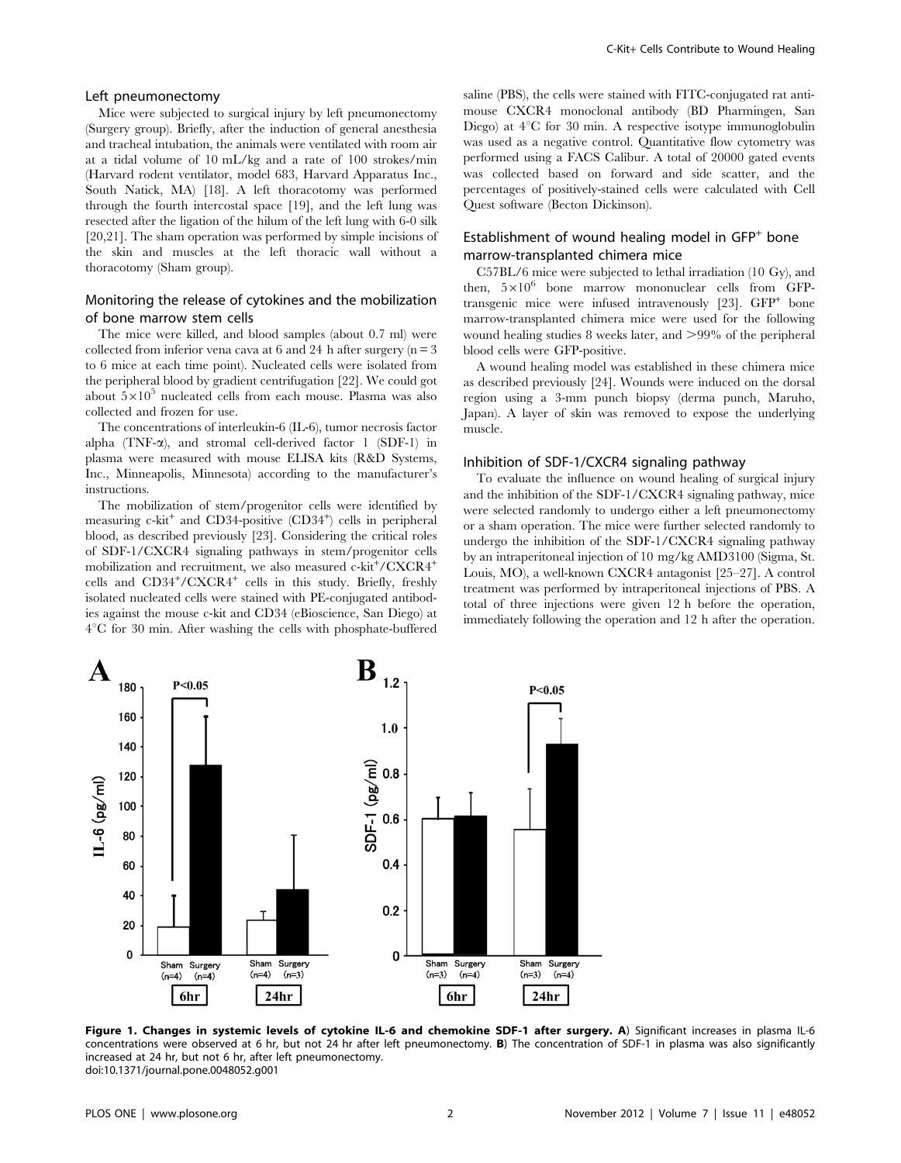### Left pneumonectomy

Mice were subjected to surgical injury by left pneumonectomy (Surgery group). Briefly, after the induction of general anesthesia and tracheal intubation, the animals were ventilated with room air at a tidal volume of 10 mL/kg and a rate of 100 strokes/min (Harvard rodent ventilator, model 683, Harvard Apparatus Inc., South Natick, MA) [18]. A left thoracotomy was performed through the fourth intercostal space [19], and the left lung was resected after the ligation of the hilum of the left lung with 6-0 silk [20,21]. The sham operation was performed by simple incisions of the skin and muscles at the left thoracic wall without a thoracotomy (Sham group).

## Monitoring the release of cytokines and the mobilization of bone marrow stem cells

The mice were killed, and blood samples (about 0.7 ml) were collected from inferior vena cava at 6 and 24 h after surgery  $(n = 3$ to 6 mice at each time point). Nucleated cells were isolated from the peripheral blood by gradient centrifugation [22]. We could got about  $5\times10^5$  nucleated cells from each mouse. Plasma was also collected and frozen for use.

The concentrations of interleukin-6 (IL-6), tumor necrosis factor alpha (TNF- $\alpha$ ), and stromal cell-derived factor 1 (SDF-1) in plasma were measured with mouse ELISA kits (R&D Systems, Inc., Minneapolis, Minnesota) according to the manufacturer's instructions.

The mobilization of stem/progenitor cells were identified by measuring c-kit<sup>+</sup> and CD34-positive (CD34<sup>+</sup>) cells in peripheral blood, as described previously [23]. Considering the critical roles of SDF-1/CXCR4 signaling pathways in stem/progenitor cells mobilization and recruitment, we also measured c-kit<sup>+</sup>/CXCR4<sup>+</sup> cells and CD34+/CXCR4+ cells in this study. Briefly, freshly isolated nucleated cells were stained with PE-conjugated antibodies against the mouse c-kit and CD34 (eBioscience, San Diego) at  $4^{\circ}$ C for 30 min. After washing the cells with phosphate-buffered

saline (PBS), the cells were stained with FITC-conjugated rat antimouse CXCR4 monoclonal antibody (BD Pharmingen, San Diego) at  $4^{\circ}$ C for 30 min. A respective isotype immunoglobulin was used as a negative control. Quantitative flow cytometry was performed using a FACS Calibur. A total of 20000 gated events was collected based on forward and side scatter, and the percentages of positively-stained cells were calculated with Cell Quest software (Becton Dickinson).

## Establishment of wound healing model in  $GFP<sup>+</sup>$  bone marrow-transplanted chimera mice

C57BL/6 mice were subjected to lethal irradiation (10 Gy), and then,  $5\times10^6$  bone marrow mononuclear cells from GFPtransgenic mice were infused intravenously  $[23]$ .  $\text{GFP}^+$  bone marrow-transplanted chimera mice were used for the following wound healing studies 8 weeks later, and  $>99\%$  of the peripheral blood cells were GFP-positive.

A wound healing model was established in these chimera mice as described previously [24]. Wounds were induced on the dorsal region using a 3-mm punch biopsy (derma punch, Maruho, Japan). A layer of skin was removed to expose the underlying muscle.

## Inhibition of SDF-1/CXCR4 signaling pathway

To evaluate the influence on wound healing of surgical injury and the inhibition of the SDF-1/CXCR4 signaling pathway, mice were selected randomly to undergo either a left pneumonectomy or a sham operation. The mice were further selected randomly to undergo the inhibition of the SDF-1/CXCR4 signaling pathway by an intraperitoneal injection of 10 mg/kg AMD3100 (Sigma, St. Louis, MO), a well-known CXCR4 antagonist [25–27]. A control treatment was performed by intraperitoneal injections of PBS. A total of three injections were given 12 h before the operation, immediately following the operation and 12 h after the operation.



Figure 1. Changes in systemic levels of cytokine IL-6 and chemokine SDF-1 after surgery. A) Significant increases in plasma IL-6 concentrations were observed at 6 hr, but not 24 hr after left pneumonectomy. B) The concentration of SDF-1 in plasma was also significantly increased at 24 hr, but not 6 hr, after left pneumonectomy. doi:10.1371/journal.pone.0048052.g001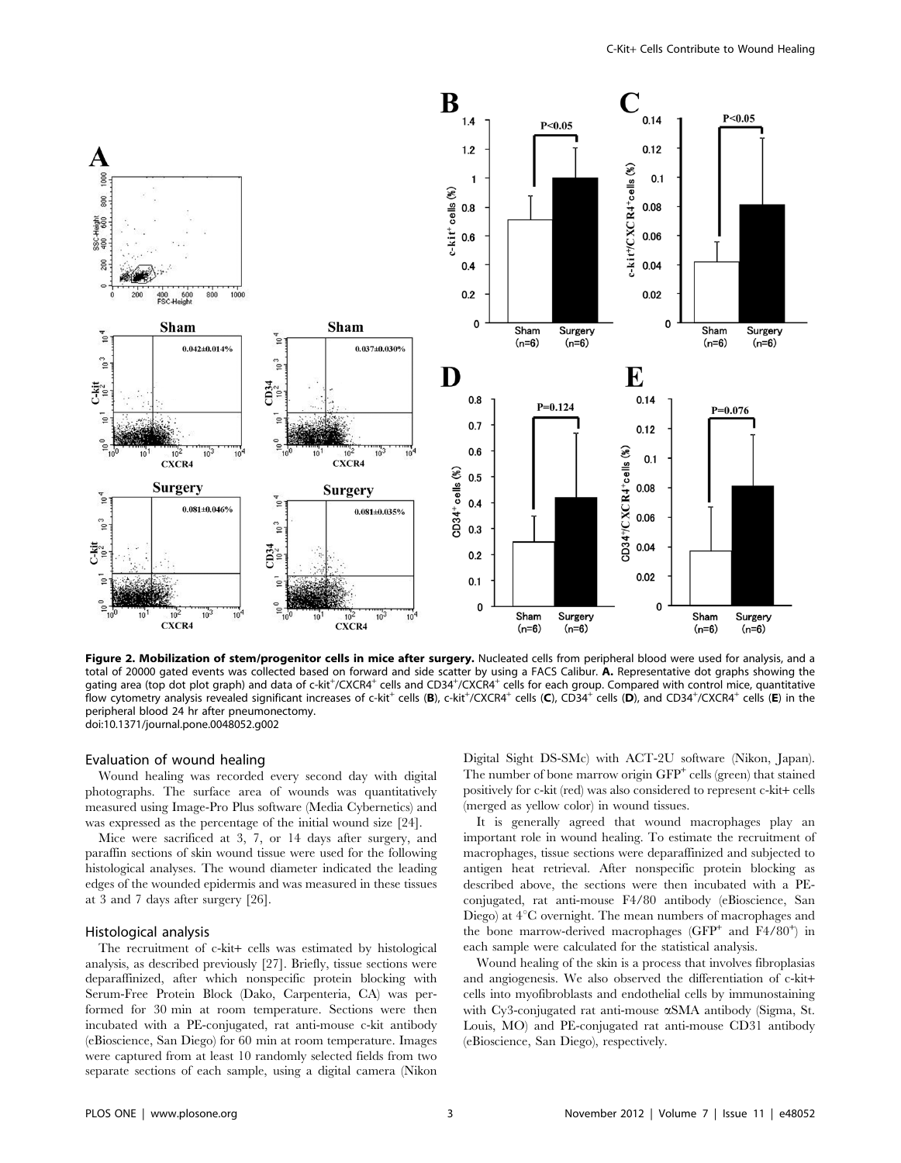

Figure 2. Mobilization of stem/progenitor cells in mice after surgery. Nucleated cells from peripheral blood were used for analysis, and a total of 20000 gated events was collected based on forward and side scatter by using a FACS Calibur. A. Representative dot graphs showing the gating area (top dot plot graph) and data of c-kit<sup>+</sup>/CXCR4<sup>+</sup> cells and CD34<sup>+</sup>/CXCR4<sup>+</sup> cells for each group. Compared with control mice, quantitative flow cytometry analysis revealed significant increases of c-kit $^+$  cells (**B**), c-kit $^+$ /CXCR4 $^+$  cells (**C**), CD34 $^+$  cells (**D**), and CD34 $^+$ /CXCR4 $^+$  cells (**E**) in the peripheral blood 24 hr after pneumonectomy. doi:10.1371/journal.pone.0048052.g002

### Evaluation of wound healing

Wound healing was recorded every second day with digital photographs. The surface area of wounds was quantitatively measured using Image-Pro Plus software (Media Cybernetics) and was expressed as the percentage of the initial wound size [24].

Mice were sacrificed at 3, 7, or 14 days after surgery, and paraffin sections of skin wound tissue were used for the following histological analyses. The wound diameter indicated the leading edges of the wounded epidermis and was measured in these tissues at 3 and 7 days after surgery [26].

#### Histological analysis

The recruitment of c-kit+ cells was estimated by histological analysis, as described previously [27]. Briefly, tissue sections were deparaffinized, after which nonspecific protein blocking with Serum-Free Protein Block (Dako, Carpenteria, CA) was performed for 30 min at room temperature. Sections were then incubated with a PE-conjugated, rat anti-mouse c-kit antibody (eBioscience, San Diego) for 60 min at room temperature. Images were captured from at least 10 randomly selected fields from two separate sections of each sample, using a digital camera (Nikon Digital Sight DS-SMc) with ACT-2U software (Nikon, Japan). The number of bone marrow origin  $\text{GFP}^+$  cells (green) that stained positively for c-kit (red) was also considered to represent c-kit+ cells (merged as yellow color) in wound tissues.

It is generally agreed that wound macrophages play an important role in wound healing. To estimate the recruitment of macrophages, tissue sections were deparaffinized and subjected to antigen heat retrieval. After nonspecific protein blocking as described above, the sections were then incubated with a PEconjugated, rat anti-mouse F4/80 antibody (eBioscience, San Diego) at  $4^{\circ}$ C overnight. The mean numbers of macrophages and the bone marrow-derived macrophages (GFP<sup>+</sup> and F4/80<sup>+</sup>) in each sample were calculated for the statistical analysis.

Wound healing of the skin is a process that involves fibroplasias and angiogenesis. We also observed the differentiation of c-kit+ cells into myofibroblasts and endothelial cells by immunostaining with Cy3-conjugated rat anti-mouse  $\alpha$ SMA antibody (Sigma, St. Louis, MO) and PE-conjugated rat anti-mouse CD31 antibody (eBioscience, San Diego), respectively.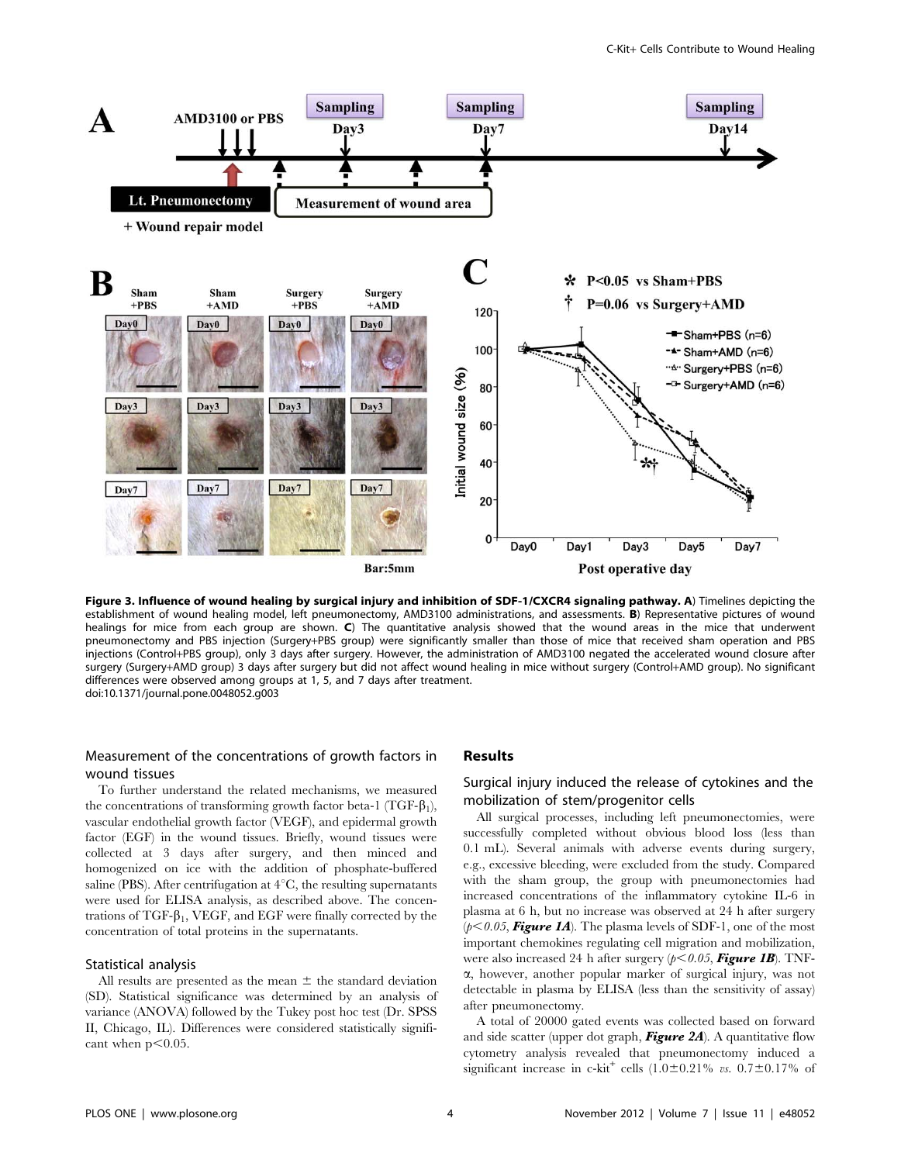

Figure 3. Influence of wound healing by surgical injury and inhibition of SDF-1/CXCR4 signaling pathway. A) Timelines depicting the establishment of wound healing model, left pneumonectomy, AMD3100 administrations, and assessments. B) Representative pictures of wound healings for mice from each group are shown. C) The quantitative analysis showed that the wound areas in the mice that underwent pneumonectomy and PBS injection (Surgery+PBS group) were significantly smaller than those of mice that received sham operation and PBS injections (Control+PBS group), only 3 days after surgery. However, the administration of AMD3100 negated the accelerated wound closure after surgery (Surgery+AMD group) 3 days after surgery but did not affect wound healing in mice without surgery (Control+AMD group). No significant differences were observed among groups at 1, 5, and 7 days after treatment. doi:10.1371/journal.pone.0048052.g003

## Measurement of the concentrations of growth factors in wound tissues

To further understand the related mechanisms, we measured the concentrations of transforming growth factor beta-1 (TGF- $\beta_1$ ), vascular endothelial growth factor (VEGF), and epidermal growth factor (EGF) in the wound tissues. Briefly, wound tissues were collected at 3 days after surgery, and then minced and homogenized on ice with the addition of phosphate-buffered saline (PBS). After centrifugation at  $4^{\circ}$ C, the resulting supernatants were used for ELISA analysis, as described above. The concentrations of TGF- $\beta_1$ , VEGF, and EGF were finally corrected by the concentration of total proteins in the supernatants.

#### Statistical analysis

All results are presented as the mean  $\pm$  the standard deviation (SD). Statistical significance was determined by an analysis of variance (ANOVA) followed by the Tukey post hoc test (Dr. SPSS II, Chicago, IL). Differences were considered statistically significant when  $p<0.05$ .

## Results

## Surgical injury induced the release of cytokines and the mobilization of stem/progenitor cells

All surgical processes, including left pneumonectomies, were successfully completed without obvious blood loss (less than 0.1 mL). Several animals with adverse events during surgery, e.g., excessive bleeding, were excluded from the study. Compared with the sham group, the group with pneumonectomies had increased concentrations of the inflammatory cytokine IL-6 in plasma at 6 h, but no increase was observed at 24 h after surgery  $(p<0.05,$  Figure 1A). The plasma levels of SDF-1, one of the most important chemokines regulating cell migration and mobilization, were also increased 24 h after surgery  $(p<0.05,$  Figure 1B). TNFa, however, another popular marker of surgical injury, was not detectable in plasma by ELISA (less than the sensitivity of assay) after pneumonectomy.

A total of 20000 gated events was collected based on forward and side scatter (upper dot graph, **Figure 2A**). A quantitative flow cytometry analysis revealed that pneumonectomy induced a significant increase in c-kit<sup>+</sup> cells  $(1.0 \pm 0.21\% \text{ vs. } 0.7 \pm 0.17\% \text{ of }$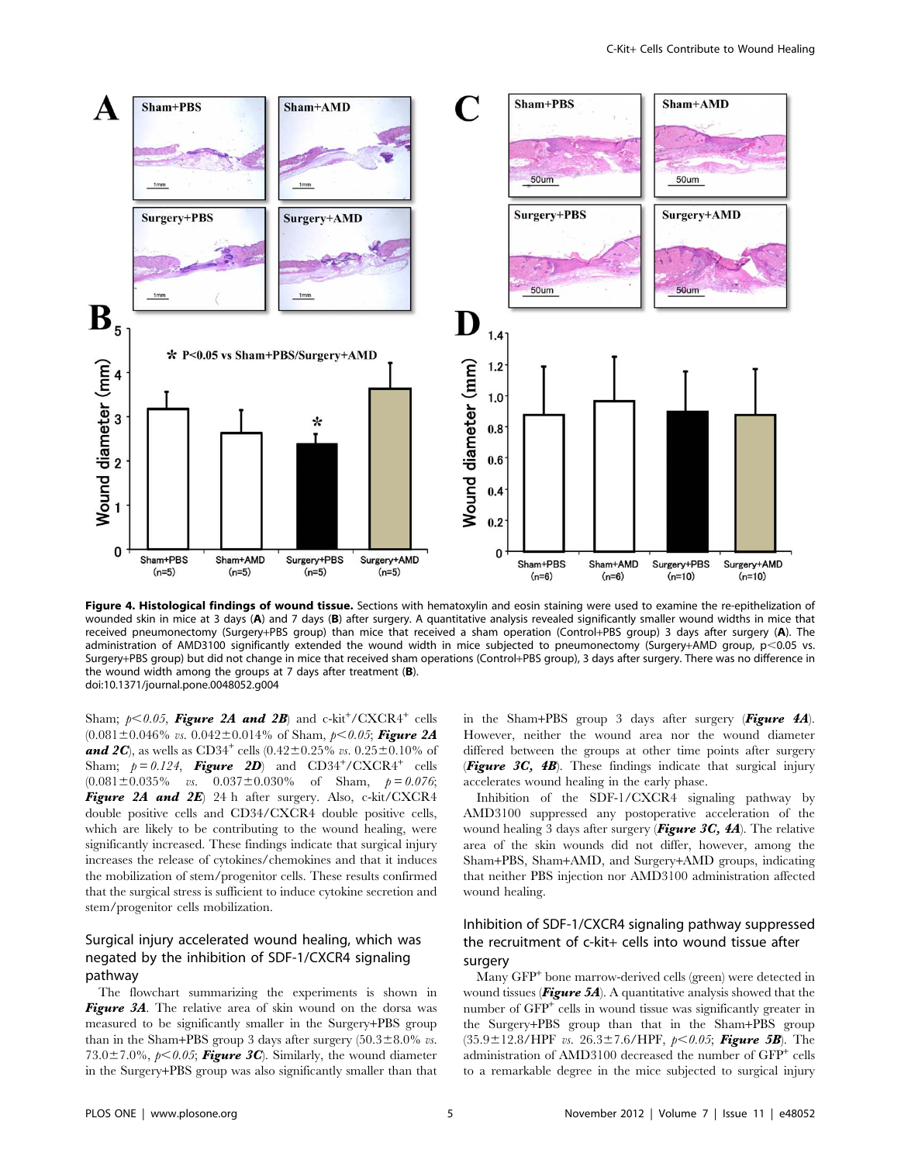

Figure 4. Histological findings of wound tissue. Sections with hematoxylin and eosin staining were used to examine the re-epithelization of wounded skin in mice at 3 days (A) and 7 days (B) after surgery. A quantitative analysis revealed significantly smaller wound widths in mice that received pneumonectomy (Surgery+PBS group) than mice that received a sham operation (Control+PBS group) 3 days after surgery (A). The administration of AMD3100 significantly extended the wound width in mice subjected to pneumonectomy (Surgery+AMD group,  $p<0.05$  vs. Surgery+PBS group) but did not change in mice that received sham operations (Control+PBS group), 3 days after surgery. There was no difference in the wound width among the groups at  $7$  days after treatment ( $\bf{B}$ ). doi:10.1371/journal.pone.0048052.g004

Sham;  $p<0.05$ , Figure 2A and 2B) and c-kit<sup>+</sup>/CXCR4<sup>+</sup> cells  $(0.081 \pm 0.046\%$  vs.  $(0.042 \pm 0.014\%$  of Sham,  $p<0.05$ ; Figure 2A **and 2C**), as wells as CD34<sup>+</sup> cells (0.42±0.25% vs. 0.25±0.10% of Sham;  $p = 0.124$ , **Figure 2D**) and CD34<sup>+</sup>/CXCR4<sup>+</sup> cells  $(0.081 \pm 0.035\%$  vs.  $0.037 \pm 0.030\%$  of Sham,  $p = 0.076$ ; Figure 2A and 2E) 24 h after surgery. Also, c-kit/CXCR4 double positive cells and CD34/CXCR4 double positive cells, which are likely to be contributing to the wound healing, were significantly increased. These findings indicate that surgical injury increases the release of cytokines/chemokines and that it induces the mobilization of stem/progenitor cells. These results confirmed that the surgical stress is sufficient to induce cytokine secretion and stem/progenitor cells mobilization.

## Surgical injury accelerated wound healing, which was negated by the inhibition of SDF-1/CXCR4 signaling pathway

The flowchart summarizing the experiments is shown in Figure 3A. The relative area of skin wound on the dorsa was measured to be significantly smaller in the Surgery+PBS group than in the Sham+PBS group 3 days after surgery  $(50.3 \pm 8.0\% \text{ vs.})$ 73.0 $\pm$ 7.0%, p $<$ 0.05; Figure 3C). Similarly, the wound diameter in the Surgery+PBS group was also significantly smaller than that in the Sham+PBS group 3 days after surgery  $(Figure 4A)$ . However, neither the wound area nor the wound diameter differed between the groups at other time points after surgery **(Figure 3C, 4B).** These findings indicate that surgical injury accelerates wound healing in the early phase.

Inhibition of the SDF-1/CXCR4 signaling pathway by AMD3100 suppressed any postoperative acceleration of the wound healing 3 days after surgery (**Figure 3C, 4A**). The relative area of the skin wounds did not differ, however, among the Sham+PBS, Sham+AMD, and Surgery+AMD groups, indicating that neither PBS injection nor AMD3100 administration affected wound healing.

## Inhibition of SDF-1/CXCR4 signaling pathway suppressed the recruitment of c-kit+ cells into wound tissue after surgery

Many GFP<sup>+</sup> bone marrow-derived cells (green) were detected in wound tissues (**Figure 5A**). A quantitative analysis showed that the number of GFP<sup>+</sup> cells in wound tissue was significantly greater in the Surgery+PBS group than that in the Sham+PBS group  $(35.9 \pm 12.8/HPF$  vs.  $26.3 \pm 7.6/HPF$ ,  $p<0.05$ ; Figure 5B). The administration of AMD3100 decreased the number of GFP<sup>+</sup> cells to a remarkable degree in the mice subjected to surgical injury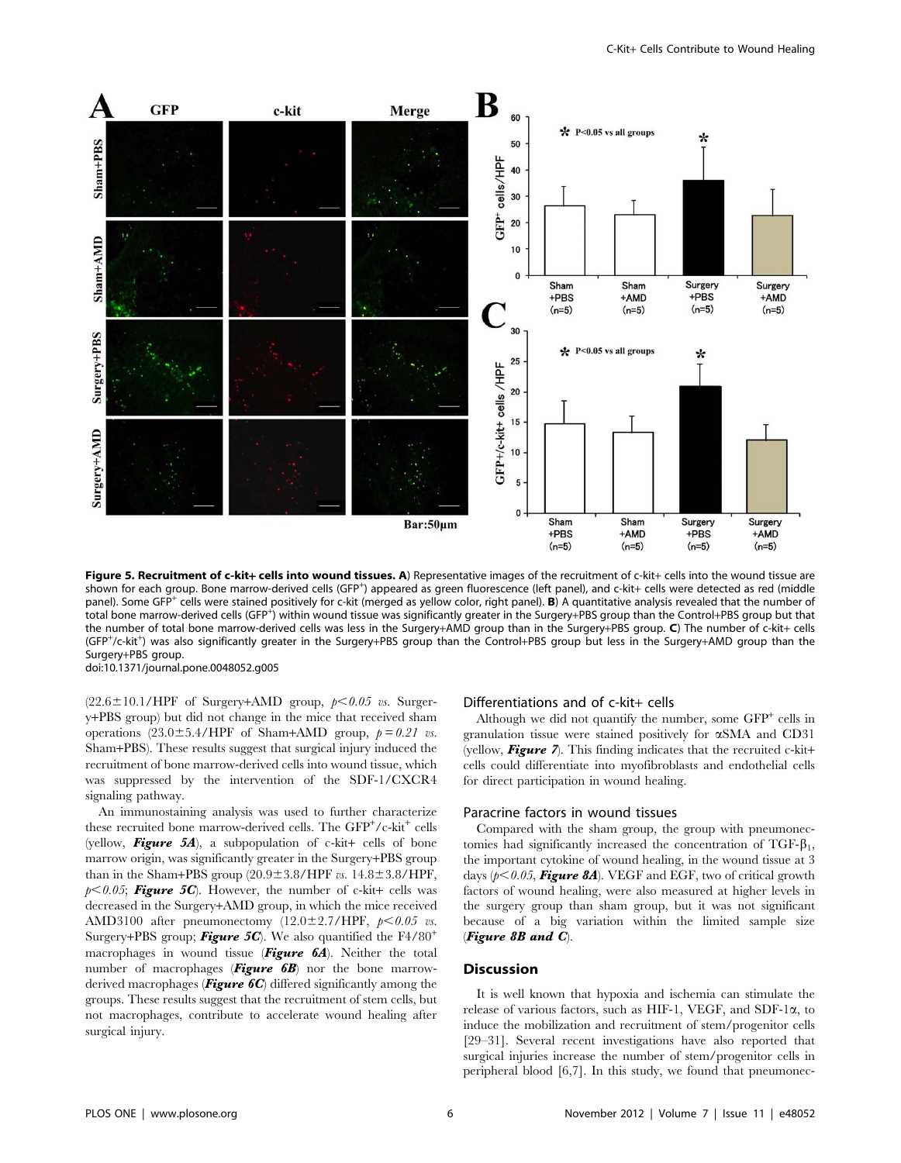

Figure 5. Recruitment of c-kit+ cells into wound tissues. A) Representative images of the recruitment of c-kit+ cells into the wound tissue are shown for each group. Bone marrow-derived cells (GFP<sup>+</sup>) appeared as green fluorescence (left panel), and c-kit+ cells were detected as red (middle panel). Some GFP<sup>+</sup> cells were stained positively for c-kit (merged as yellow color, right panel). B) A quantitative analysis revealed that the number of .<br>total bone marrow-derived cells (GFP<sup>+</sup>) within wound tissue was significantly greater in the Surgery+PBS group than the Control+PBS group but that the number of total bone marrow-derived cells was less in the Surgery+AMD group than in the Surgery+PBS group. C) The number of c-kit+ cells (GFP+/c-kit+) was also significantly greater in the Surgery+PBS group than the Control+PBS group but less in the Surgery+AMD group than the Surgery+PBS group. doi:10.1371/journal.pone.0048052.g005

 $(22.6 \pm 10.1/HPF$  of Surgery+AMD group,  $p < 0.05$  vs. Surgery+PBS group) but did not change in the mice that received sham operations  $(23.0 \pm 5.4/HPF$  of Sham+AMD group,  $p = 0.21$  vs. Sham+PBS). These results suggest that surgical injury induced the recruitment of bone marrow-derived cells into wound tissue, which was suppressed by the intervention of the SDF-1/CXCR4 signaling pathway.

An immunostaining analysis was used to further characterize these recruited bone marrow-derived cells. The GFP<sup>+</sup>/c-kit<sup>+</sup> cells (yellow, Figure 5A), a subpopulation of c-kit+ cells of bone marrow origin, was significantly greater in the Surgery+PBS group than in the Sham+PBS group  $(20.9 \pm 3.8/HPF v_s. 14.8 \pm 3.8/HPF,$  $p<0.05$ ; Figure 5C). However, the number of c-kit+ cells was decreased in the Surgery+AMD group, in which the mice received AMD3100 after pneumonectomy  $(12.0 \pm 2.7/$ HPF,  $p < 0.05$  vs. Surgery+PBS group; **Figure 5C**). We also quantified the  $F4/80^+$ macrophages in wound tissue ( $Figure 6A$ ). Neither the total number of macrophages (**Figure 6B**) nor the bone marrowderived macrophages (**Figure 6C**) differed significantly among the groups. These results suggest that the recruitment of stem cells, but not macrophages, contribute to accelerate wound healing after surgical injury.

### Differentiations and of c-kit+ cells

Although we did not quantify the number, some  $GFP<sup>+</sup>$  cells in granulation tissue were stained positively for aSMA and CD31 (yellow, **Figure** 7). This finding indicates that the recruited c-kit+ cells could differentiate into myofibroblasts and endothelial cells for direct participation in wound healing.

#### Paracrine factors in wound tissues

Compared with the sham group, the group with pneumonectomies had significantly increased the concentration of  $TGF-\beta_1$ , the important cytokine of wound healing, in the wound tissue at 3 days ( $p<0.05$ , Figure 8A). VEGF and EGF, two of critical growth factors of wound healing, were also measured at higher levels in the surgery group than sham group, but it was not significant because of a big variation within the limited sample size (Figure 8B and C).

#### **Discussion**

It is well known that hypoxia and ischemia can stimulate the release of various factors, such as HIF-1, VEGF, and SDF-1 $\alpha$ , to induce the mobilization and recruitment of stem/progenitor cells [29–31]. Several recent investigations have also reported that surgical injuries increase the number of stem/progenitor cells in peripheral blood [6,7]. In this study, we found that pneumonec-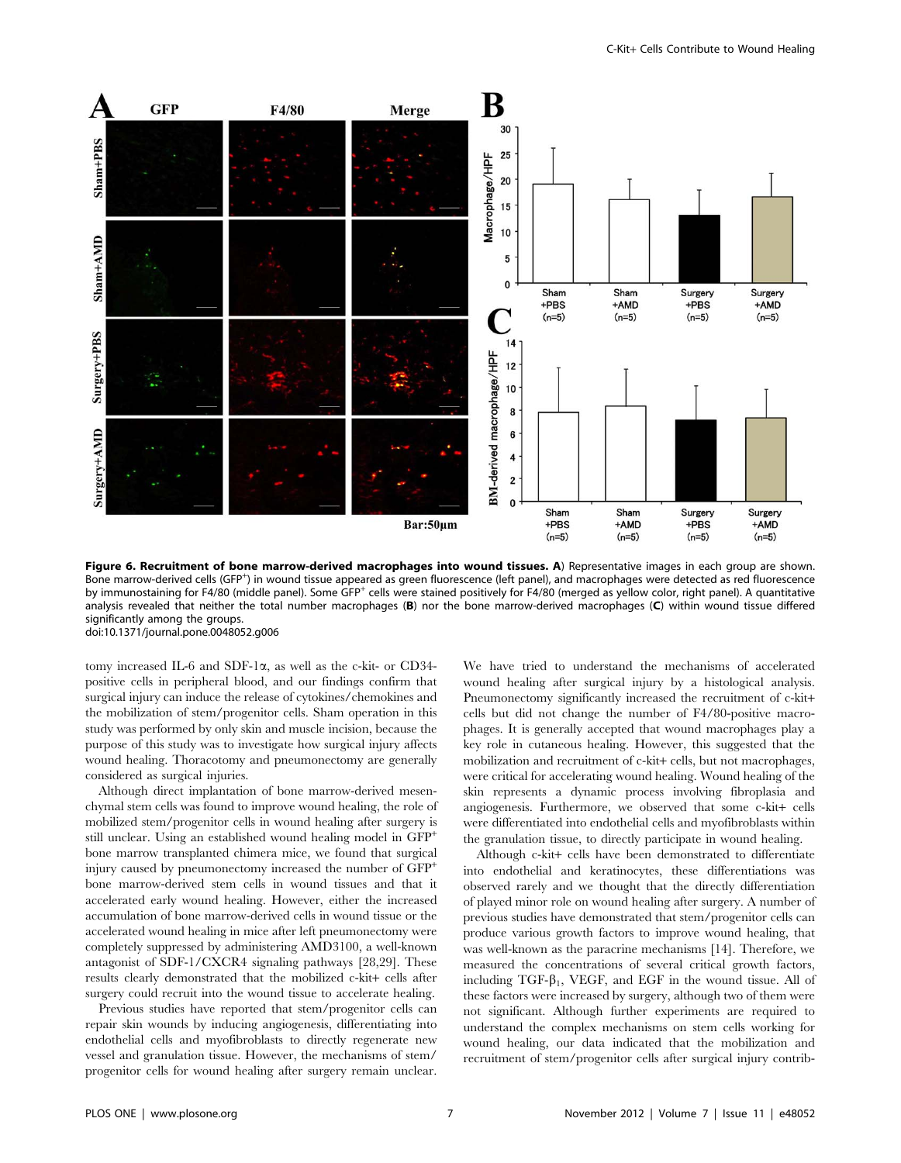

Figure 6. Recruitment of bone marrow-derived macrophages into wound tissues. A) Representative images in each group are shown. Bone marrow-derived cells (GFP<sup>+</sup>) in wound tissue appeared as green fluorescence (left panel), and macrophages were detected as red fluorescence by immunostaining for F4/80 (middle panel). Some GFP<sup>+</sup> cells were stained positively for F4/80 (merged as yellow color, right panel). A quantitative analysis revealed that neither the total number macrophages (B) nor the bone marrow-derived macrophages (C) within wound tissue differed significantly among the groups. doi:10.1371/journal.pone.0048052.g006

tomy increased IL-6 and SDF-1a, as well as the c-kit- or CD34 positive cells in peripheral blood, and our findings confirm that surgical injury can induce the release of cytokines/chemokines and the mobilization of stem/progenitor cells. Sham operation in this study was performed by only skin and muscle incision, because the purpose of this study was to investigate how surgical injury affects wound healing. Thoracotomy and pneumonectomy are generally considered as surgical injuries.

Although direct implantation of bone marrow-derived mesenchymal stem cells was found to improve wound healing, the role of mobilized stem/progenitor cells in wound healing after surgery is still unclear. Using an established wound healing model in GFP<sup>+</sup> bone marrow transplanted chimera mice, we found that surgical injury caused by pneumonectomy increased the number of  $GFP^+$ bone marrow-derived stem cells in wound tissues and that it accelerated early wound healing. However, either the increased accumulation of bone marrow-derived cells in wound tissue or the accelerated wound healing in mice after left pneumonectomy were completely suppressed by administering AMD3100, a well-known antagonist of SDF-1/CXCR4 signaling pathways [28,29]. These results clearly demonstrated that the mobilized c-kit+ cells after surgery could recruit into the wound tissue to accelerate healing.

Previous studies have reported that stem/progenitor cells can repair skin wounds by inducing angiogenesis, differentiating into endothelial cells and myofibroblasts to directly regenerate new vessel and granulation tissue. However, the mechanisms of stem/ progenitor cells for wound healing after surgery remain unclear.

We have tried to understand the mechanisms of accelerated wound healing after surgical injury by a histological analysis. Pneumonectomy significantly increased the recruitment of c-kit+ cells but did not change the number of F4/80-positive macrophages. It is generally accepted that wound macrophages play a key role in cutaneous healing. However, this suggested that the mobilization and recruitment of c-kit+ cells, but not macrophages, were critical for accelerating wound healing. Wound healing of the skin represents a dynamic process involving fibroplasia and angiogenesis. Furthermore, we observed that some c-kit+ cells were differentiated into endothelial cells and myofibroblasts within the granulation tissue, to directly participate in wound healing.

Although c-kit+ cells have been demonstrated to differentiate into endothelial and keratinocytes, these differentiations was observed rarely and we thought that the directly differentiation of played minor role on wound healing after surgery. A number of previous studies have demonstrated that stem/progenitor cells can produce various growth factors to improve wound healing, that was well-known as the paracrine mechanisms [14]. Therefore, we measured the concentrations of several critical growth factors, including TGF- $\beta_1$ , VEGF, and EGF in the wound tissue. All of these factors were increased by surgery, although two of them were not significant. Although further experiments are required to understand the complex mechanisms on stem cells working for wound healing, our data indicated that the mobilization and recruitment of stem/progenitor cells after surgical injury contrib-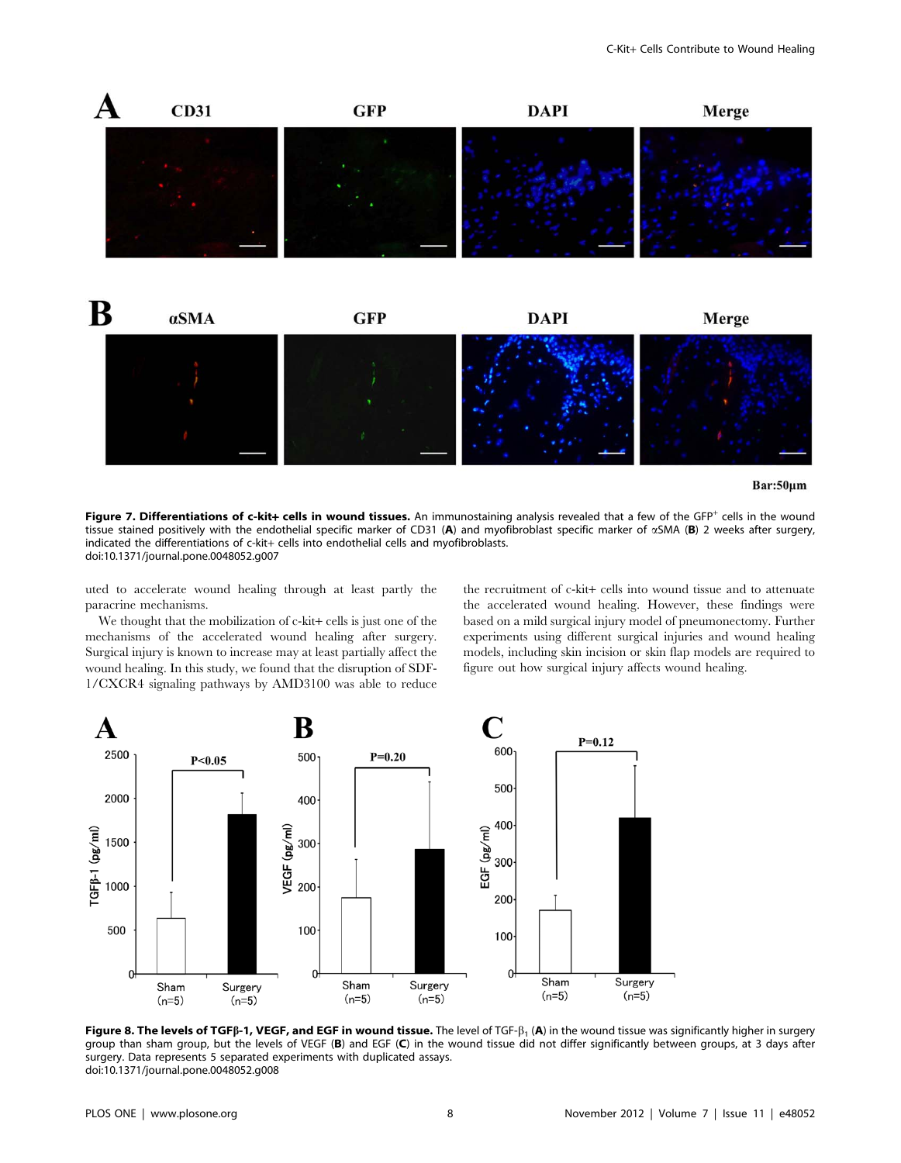



Bar:50µm

Figure 7. Differentiations of c-kit+ cells in wound tissues. An immunostaining analysis revealed that a few of the GFP<sup>+</sup> cells in the wound tissue stained positively with the endothelial specific marker of CD31 (A) and myofibroblast specific marker of  $\alpha$ SMA (B) 2 weeks after surgery, indicated the differentiations of c-kit+ cells into endothelial cells and myofibroblasts. doi:10.1371/journal.pone.0048052.g007

uted to accelerate wound healing through at least partly the paracrine mechanisms.

We thought that the mobilization of c-kit+ cells is just one of the mechanisms of the accelerated wound healing after surgery. Surgical injury is known to increase may at least partially affect the wound healing. In this study, we found that the disruption of SDF-1/CXCR4 signaling pathways by AMD3100 was able to reduce the recruitment of c-kit+ cells into wound tissue and to attenuate the accelerated wound healing. However, these findings were based on a mild surgical injury model of pneumonectomy. Further experiments using different surgical injuries and wound healing models, including skin incision or skin flap models are required to figure out how surgical injury affects wound healing.



Figure 8. The levels of TGFB-1, VEGF, and EGF in wound tissue. The level of TGF- $\beta_1$  (A) in the wound tissue was significantly higher in surgery group than sham group, but the levels of VEGF (B) and EGF (C) in the wound tissue did not differ significantly between groups, at 3 days after surgery. Data represents 5 separated experiments with duplicated assays. doi:10.1371/journal.pone.0048052.g008